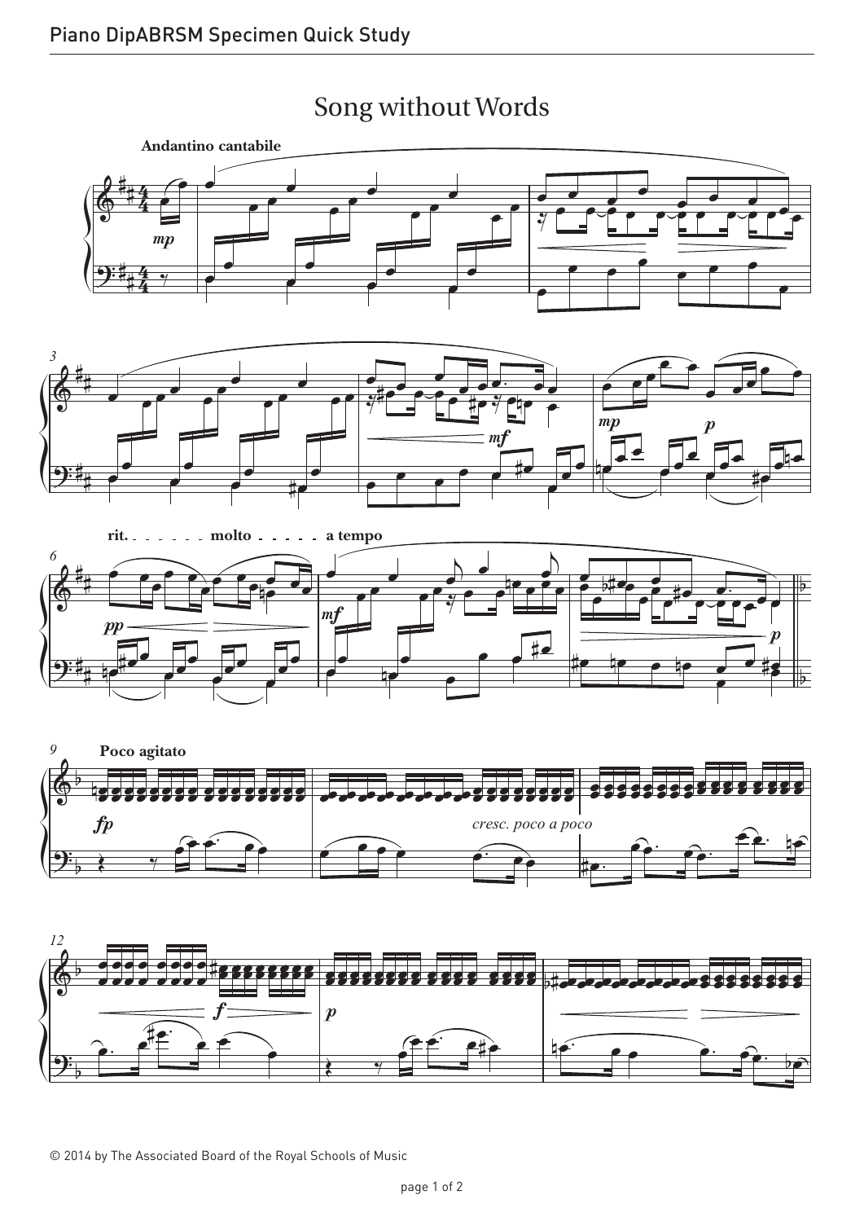

## Song without Words Song without Words